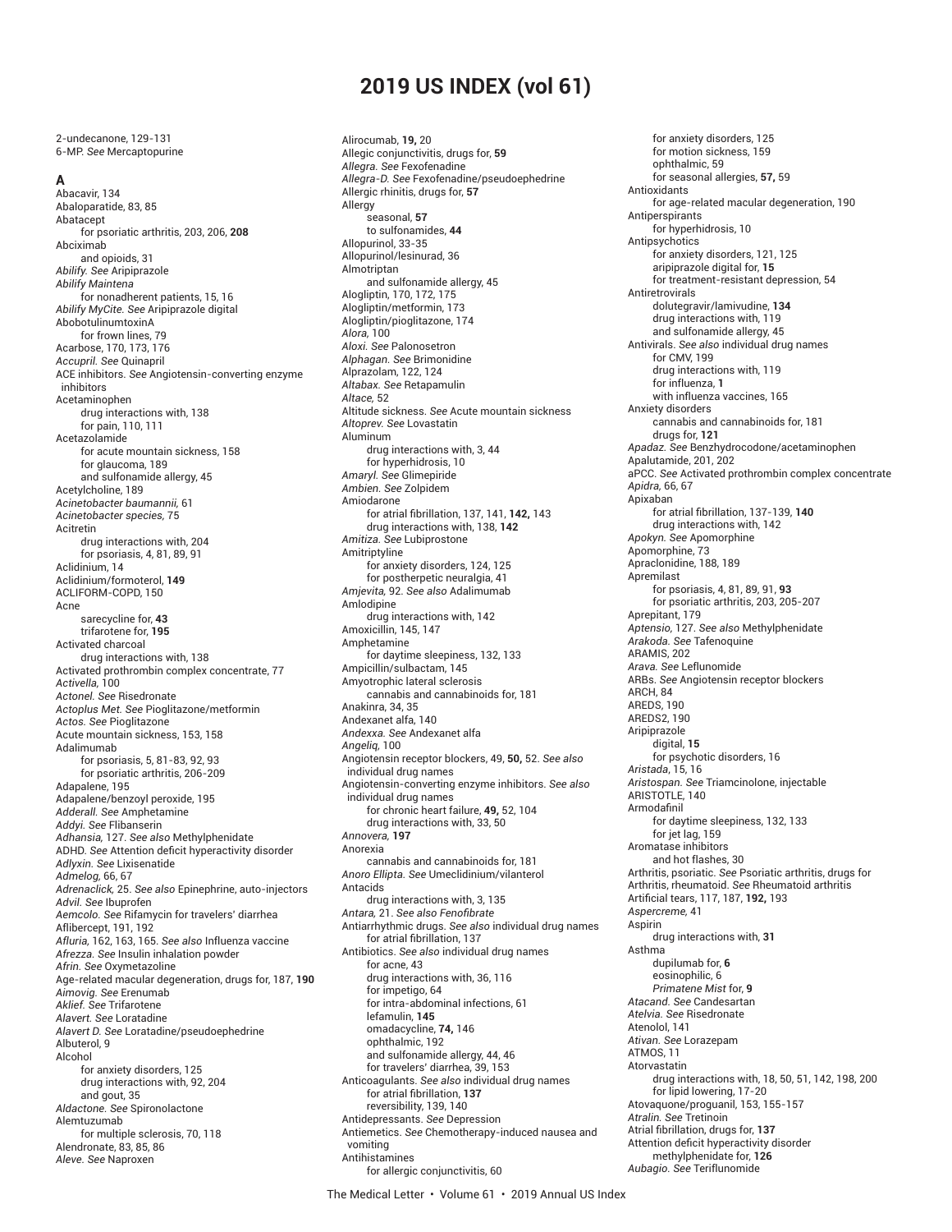# **2019 US INDEX (vol 61)**

 2-undecanone, 129-131 6-MP. *See* Mercaptopurine

#### **A**

Abacavir, 134 Abaloparatide, 83, 85 Abatacept for psoriatic arthritis, 203, 206, **208** Abciximab and opioids, 31 *Abilify. See* Aripiprazole *Abilify Maintena* for nonadherent patients, 15, 16 *Abilify MyCite. See* Aripiprazole digital AbobotulinumtoxinA for frown lines, 79 Acarbose, 170, 173, 176 *Accupril. See* Quinapril ACE inhibitors. *See* Angiotensin-converting enzyme inhibitors Acetaminophen drug interactions with, 138 for pain, 110, 111 Acetazolamide for acute mountain sickness, 158 for glaucoma, 189 and sulfonamide allergy, 45 Acetylcholine, 189 *Acinetobacter baumannii,* 61 *Acinetobacter species,* 75 Acitretin drug interactions with, 204 for psoriasis, 4, 81, 89, 91 Aclidinium, 14 Aclidinium/formoterol, **149** ACLIFORM-COPD, 150 Acne sarecycline for, **43** trifarotene for, **195** Activated charcoal drug interactions with, 138 Activated prothrombin complex concentrate, 77 *Activella,* 100 *Actonel. See* Risedronate *Actoplus Met. See* Pioglitazone/metformin *Actos. See* Pioglitazone Acute mountain sickness, 153, 158 Adalimumab for psoriasis, 5, 81-83, 92, 93 for psoriatic arthritis, 206-209 Adapalene, 195 Adapalene/benzoyl peroxide, 195 *Adderall. See* Amphetamine *Addyi. See* Flibanserin *Adhansia,* 127. *See also* Methylphenidate ADHD. See Attention deficit hyperactivity disorder *Adlyxin. See* Lixisenatide *Admelog,* 66, 67 *Adrenaclick,* 25. *See also* Epinephrine, auto-injectors *Advil. See* Ibuprofen *Aemcolo. See* Rifamycin for travelers' diarrhea Aflibercept, 191, 192 *Afluria,* 162, 163, 165. *See also* Influenza vaccine *Afrezza. See* Insulin inhalation powder *Afrin. See* Oxymetazoline Age-related macular degeneration, drugs for, 187, **190** *Aimovig. See* Erenumab *Aklief. See* Trifarotene *Alavert. See* Loratadine *Alavert D. See* Loratadine/pseudoephedrine Albuterol, 9 Alcohol for anxiety disorders, 125 drug interactions with, 92, 204 and gout, 35 *Aldactone. See* Spironolactone Alemtuzumab for multiple sclerosis, 70, 118 Alendronate, 83, 85, 86 *Aleve. See* Naproxen

Alirocumab, **19,** 20 Allegic conjunctivitis, drugs for, **59** *Allegra. See* Fexofenadine *Allegra-D. See* Fexofenadine/pseudoephedrine Allergic rhinitis, drugs for, **57** Allergy seasonal, **57** to sulfonamides, **44** Allopurinol, 33-35 Allopurinol/lesinurad, 36 Almotriptan and sulfonamide allergy, 45 Alogliptin, 170, 172, 175 Alogliptin/metformin, 173 Alogliptin/pioglitazone, 174 *Alora,* 100 *Aloxi. See* Palonosetron *Alphagan. See* Brimonidine Alprazolam, 122, 124 *Altabax. See* Retapamulin *Altace,* 52 Altitude sickness. *See* Acute mountain sickness *Altoprev. See* Lovastatin Aluminum drug interactions with, 3, 44 for hyperhidrosis, 10 *Amaryl. See* Glimepiride *Ambien. See* Zolpidem Amiodarone for atrial fi brillation, 137, 141, **142,** 143 drug interactions with, 138, **142** *Amitiza. See* Lubiprostone Amitriptyline for anxiety disorders, 124, 125 for postherpetic neuralgia, 41 *Amjevita,* 92. *See also* Adalimumab Amlodipine drug interactions with, 142 Amoxicillin, 145, 147 Amphetamine for daytime sleepiness, 132, 133 Ampicillin/sulbactam, 145 Amyotrophic lateral sclerosis cannabis and cannabinoids for, 181 Anakinra, 34, 35 Andexanet alfa, 140 *Andexxa. See* Andexanet alfa *Angeliq,* 100 Angiotensin receptor blockers, 49, **50,** 52. *See also* individual drug names Angiotensin-converting enzyme inhibitors. *See also* individual drug names for chronic heart failure, **49,** 52, 104 drug interactions with, 33, 50 *Annovera,* **197** Anorexia cannabis and cannabinoids for, 181 *Anoro Ellipta. See* Umeclidinium/vilanterol Antacids drug interactions with, 3, 135 *Antara,* 21. *See also Fenofi brate* Antiarrhythmic drugs. *See also* individual drug names for atrial fibrillation, 137 Antibiotics. *See also* individual drug names for acne, 43 drug interactions with, 36, 116 for impetigo, 64 for intra-abdominal infections, 61 lefamulin, **145** omadacycline, **74,** 146 ophthalmic, 192 and sulfonamide allergy, 44, 46 for travelers' diarrhea, 39, 153 Anticoagulants. *See also* individual drug names for atrial fibrillation, 137 reversibility, 139, 140 Antidepressants. *See* Depression Antiemetics. *See* Chemotherapy-induced nausea and vomiting Antihistamines for allergic conjunctivitis, 60

for anxiety disorders, 125 for motion sickness, 159 ophthalmic, 59 for seasonal allergies, **57,** 59 Antioxidants for age-related macular degeneration, 190 Antiperspirants for hyperhidrosis, 10 Antipsychotics for anxiety disorders, 121, 125 aripiprazole digital for, **15** for treatment-resistant depression, 54 Antiretrovirals dolutegravir/lamivudine, **134** drug interactions with, 119 and sulfonamide allergy, 45 Antivirals. *See also* individual drug names for CMV, 199 drug interactions with, 119 for influenza, **1** with influenza vaccines, 165 Anxiety disorders cannabis and cannabinoids for, 181 drugs for, **121** *Apadaz. See* Benzhydrocodone/acetaminophen Apalutamide, 201, 202 aPCC. *See* Activated prothrombin complex concentrate *Apidra,* 66, 67 Apixaban for atrial fi brillation, 137-139, **140** drug interactions with, 142 *Apokyn. See* Apomorphine Apomorphine, 73 Apraclonidine, 188, 189 Apremilast for psoriasis, 4, 81, 89, 91, **93** for psoriatic arthritis, 203, 205-207 Aprepitant, 179 *Aptensio,* 127. *See also* Methylphenidate *Arakoda. See* Tafenoquine ARAMIS, 202 *Arava. See* Leflunomide ARBs. *See* Angiotensin receptor blockers ARCH, 84 AREDS, 190 AREDS2, 190 Aripiprazole digital, **15** for psychotic disorders, 16 *Aristada*, 15, 16 *Aristospan. See* Triamcinolone, injectable ARISTOTLE, 140 Armodafinil for daytime sleepiness, 132, 133 for jet lag, 159 Aromatase inhibitors and hot flashes, 30 Arthritis, psoriatic. *See* Psoriatic arthritis, drugs for Arthritis, rheumatoid. *See* Rheumatoid arthritis Artifi cial tears, 117, 187, **192,** 193 *Aspercreme,* 41 Aspirin drug interactions with, **31** Asthma dupilumab for, **6** eosinophilic, 6 *Primatene Mist* for, **9** *Atacand. See* Candesartan *Atelvia. See* Risedronate Atenolol, 141 *Ativan. See* Lorazepam ATMOS, 11 Atorvastatin drug interactions with, 18, 50, 51, 142, 198, 200 for lipid lowering, 17-20 Atovaquone/proguanil, 153, 155-157 *Atralin. See* Tretinoin Atrial fibrillation, drugs for, 137 Attention deficit hyperactivity disorder methylphenidate for, **126** *Aubagio. See* Teriflunomide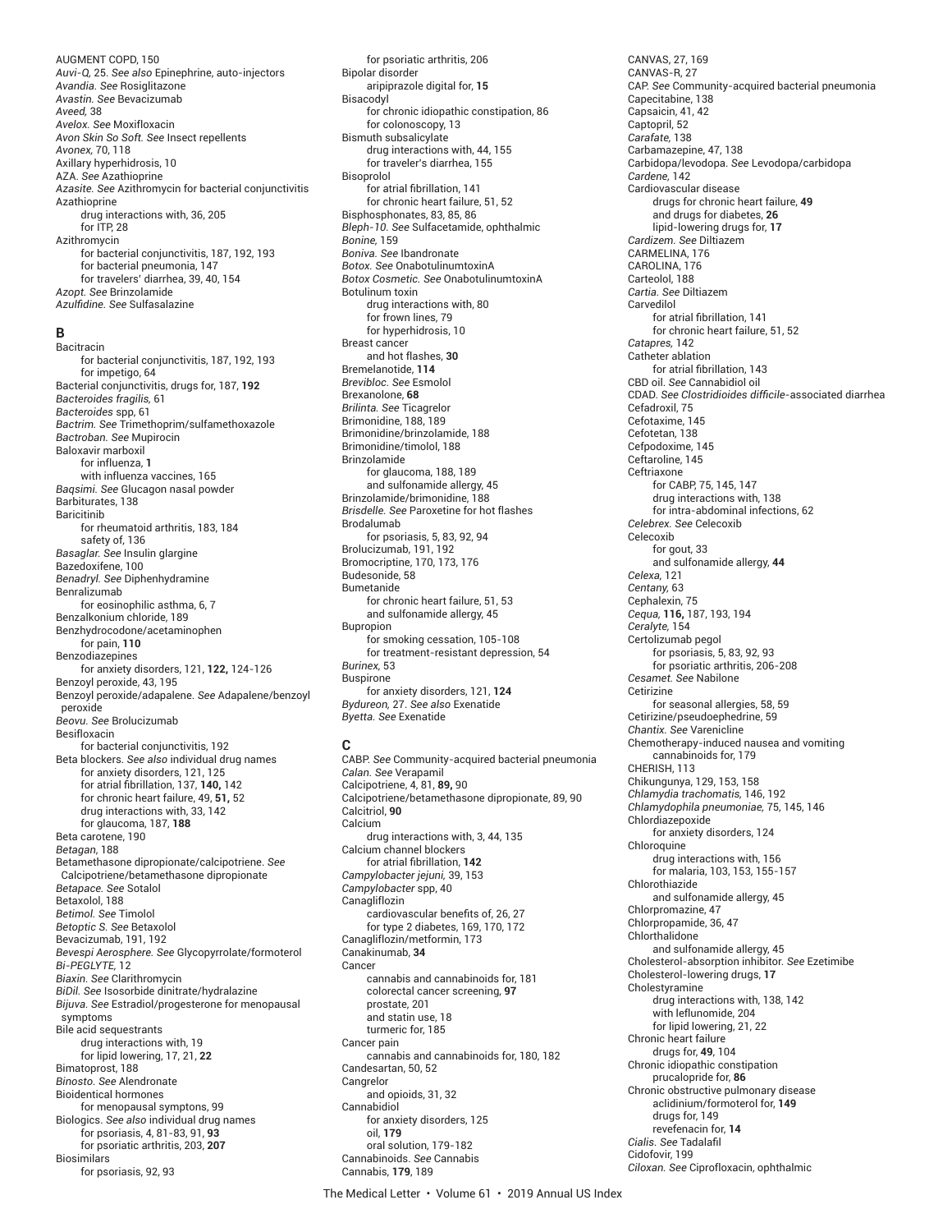AUGMENT COPD, 150 *Auvi-Q,* 25. *See also* Epinephrine, auto-injectors *Avandia. See* Rosiglitazone *Avastin. See* Bevacizumab *Aveed,* 38 *Avelox. See* Moxifloxacin *Avon Skin So Soft. See* Insect repellents *Avonex,* 70, 118 Axillary hyperhidrosis, 10 AZA. *See* Azathioprine *Azasite. See* Azithromycin for bacterial conjunctivitis Azathioprine drug interactions with, 36, 205 for ITP, 28 Azithromycin for bacterial conjunctivitis, 187, 192, 193 for bacterial pneumonia, 147 for travelers' diarrhea, 39, 40, 154 *Azopt. See* Brinzolamide *Azulfi dine. See* Sulfasalazine

# **B**

Bacitracin for bacterial conjunctivitis, 187, 192, 193 for impetigo, 64 Bacterial conjunctivitis, drugs for, 187, **192** *Bacteroides fragilis,* 61 *Bacteroides* spp, 61 *Bactrim. See* Trimethoprim/sulfamethoxazole *Bactroban. See* Mupirocin Baloxavir marboxil for influenza, **1** with influenza vaccines, 165 *Baqsimi. See* Glucagon nasal powder Barbiturates, 138 Baricitinib for rheumatoid arthritis, 183, 184 safety of, 136 *Basaglar. See* Insulin glargine Bazedoxifene, 100 *Benadryl. See* Diphenhydramine Benralizumab for eosinophilic asthma, 6, 7 Benzalkonium chloride, 189 Benzhydrocodone/acetaminophen for pain, **110** Benzodiazepines for anxiety disorders, 121, **122,** 124-126 Benzoyl peroxide, 43, 195 Benzoyl peroxide/adapalene. *See* Adapalene/benzoyl peroxide *Beovu. See* Brolucizumab Besifloxacin for bacterial conjunctivitis, 192 Beta blockers. *See also* individual drug names for anxiety disorders, 121, 125 for atrial fi brillation, 137, **140,** 142 for chronic heart failure, 49, **51,** 52 drug interactions with, 33, 142 for glaucoma, 187, **188** Beta carotene, 190 *Betagan*, 188 Betamethasone dipropionate/calcipotriene. *See* Calcipotriene/betamethasone dipropionate *Betapace. See* Sotalol Betaxolol, 188 *Betimol. See* Timolol *Betoptic S. See* Betaxolol Bevacizumab, 191, 192 *Bevespi Aerosphere. See* Glycopyrrolate/formoterol *Bi-PEGLYTE,* 12 *Biaxin. See* Clarithromycin *BiDil. See* Isosorbide dinitrate/hydralazine *Bijuva. See* Estradiol/progesterone for menopausal symptoms Bile acid sequestrants drug interactions with, 19 for lipid lowering, 17, 21, **22** Bimatoprost, 188 *Binosto. See* Alendronate Bioidentical hormones for menopausal symptons, 99 Biologics. *See also* individual drug names for psoriasis, 4, 81-83, 91, **93** for psoriatic arthritis, 203, **207** Biosimilars for psoriasis, 92, 93

for psoriatic arthritis, 206 Bipolar disorder aripiprazole digital for, **15** Bisacodyl for chronic idiopathic constipation, 86 for colonoscopy, 13 Bismuth subsalicylate drug interactions with, 44, 155 for traveler's diarrhea, 155 Bisoprolol for atrial fibrillation, 141 for chronic heart failure, 51, 52 Bisphosphonates, 83, 85, 86 *Bleph-10. See* Sulfacetamide, ophthalmic *Bonine,* 159 *Boniva. See* Ibandronate *Botox. See* OnabotulinumtoxinA *Botox Cosmetic. See* OnabotulinumtoxinA Botulinum toxin drug interactions with, 80 for frown lines, 79 for hyperhidrosis, 10 Breast cancer and hot flashes, **30** Bremelanotide, **114** *Brevibloc. See* Esmolol Brexanolone, **68** *Brilinta. See* Ticagrelor Brimonidine, 188, 189 Brimonidine/brinzolamide, 188 Brimonidine/timolol, 188 Brinzolamide for glaucoma, 188, 189 and sulfonamide allergy, 45 Brinzolamide/brimonidine, 188 *Brisdelle. See* Paroxetine for hot flashes Brodalumab for psoriasis, 5, 83, 92, 94 Brolucizumab, 191, 192 Bromocriptine, 170, 173, 176 Budesonide, 58 Bumetanide for chronic heart failure, 51, 53 and sulfonamide allergy, 45 Bupropion for smoking cessation, 105-108 for treatment-resistant depression, 54 *Burinex,* 53 Buspirone for anxiety disorders, 121, **124** *Bydureon,* 27. *See also* Exenatide

*Byetta. See* Exenatide

**C** CABP. *See* Community-acquired bacterial pneumonia *Calan. See* Verapamil Calcipotriene, 4, 81, **89,** 90 Calcipotriene/betamethasone dipropionate, 89, 90 Calcitriol, **90** Calcium drug interactions with, 3, 44, 135 Calcium channel blockers for atrial fibrillation, 142 *Campylobacter jejuni,* 39, 153 *Campylobacter* spp, 40 Canagliflozin cardiovascular benefits of, 26, 27 for type 2 diabetes, 169, 170, 172 Canagliflozin/metformin, 173 Canakinumab, **34** Cancer cannabis and cannabinoids for, 181 colorectal cancer screening, **97** prostate, 201 and statin use, 18 turmeric for, 185 Cancer pain cannabis and cannabinoids for, 180, 182 Candesartan, 50, 52 **Cangrelor** and opioids, 31, 32 Cannabidiol for anxiety disorders, 125 oil, **179** oral solution, 179-182 Cannabinoids. *See* Cannabis Cannabis, **179**, 189

CANVAS, 27, 169 CANVAS-R, 27 CAP. *See* Community-acquired bacterial pneumonia Capecitabine, 138 Capsaicin, 41, 42 Captopril, 52 *Carafate,* 138 Carbamazepine, 47, 138 Carbidopa/levodopa. *See* Levodopa/carbidopa *Cardene,* 142 Cardiovascular disease drugs for chronic heart failure, **49** and drugs for diabetes, **26** lipid-lowering drugs for, **17** *Cardizem. See* Diltiazem CARMELINA, 176 CAROLINA, 176 Carteolol, 188 *Cartia. See* Diltiazem Carvedilol for atrial fibrillation, 141 for chronic heart failure, 51, 52 *Catapres,* 142 Catheter ablation for atrial fibrillation, 143 CBD oil. *See* Cannabidiol oil CDAD. *See Clostridioides diffi cile*-associated diarrhea Cefadroxil, 75 Cefotaxime, 145 Cefotetan, 138 Cefpodoxime, 145 Ceftaroline, 145 Ceftriaxone for CABP, 75, 145, 147 drug interactions with, 138 for intra-abdominal infections, 62 *Celebrex. See* Celecoxib Celecoxib for gout, 33 and sulfonamide allergy, **44** *Celexa,* 121 *Centany,* 63 Cephalexin, 75 *Cequa,* **116,** 187, 193, 194 *Ceralyte,* 154 Certolizumab pegol for psoriasis, 5, 83, 92, 93 for psoriatic arthritis, 206-208 *Cesamet. See* Nabilone Cetirizine for seasonal allergies, 58, 59 Cetirizine/pseudoephedrine, 59 *Chantix. See* Varenicline Chemotherapy-induced nausea and vomiting cannabinoids for, 179 CHERISH, 113 Chikungunya, 129, 153, 158 *Chlamydia trachomatis,* 146, 192 *Chlamydophila pneumoniae,* 75, 145, 146 Chlordiazepoxide for anxiety disorders, 124 Chloroquine drug interactions with, 156 for malaria, 103, 153, 155-157 Chlorothiazide and sulfonamide allergy, 45 Chlorpromazine, 47 Chlorpropamide, 36, 47 Chlorthalidone and sulfonamide allergy, 45 Cholesterol-absorption inhibitor. *See* Ezetimibe Cholesterol-lowering drugs, **17** Cholestyramine drug interactions with, 138, 142 with leflunomide, 204 for lipid lowering, 21, 22 Chronic heart failure drugs for, **49**, 104 Chronic idiopathic constipation prucalopride for, **86** Chronic obstructive pulmonary disease aclidinium/formoterol for, **149** drugs for, 149 revefenacin for, **14** *Cialis. See* Tadalafi l Cidofovir, 199 *Ciloxan. See* Ciprofloxacin, ophthalmic

The Medical Letter • Volume 61 • 2019 Annual US Index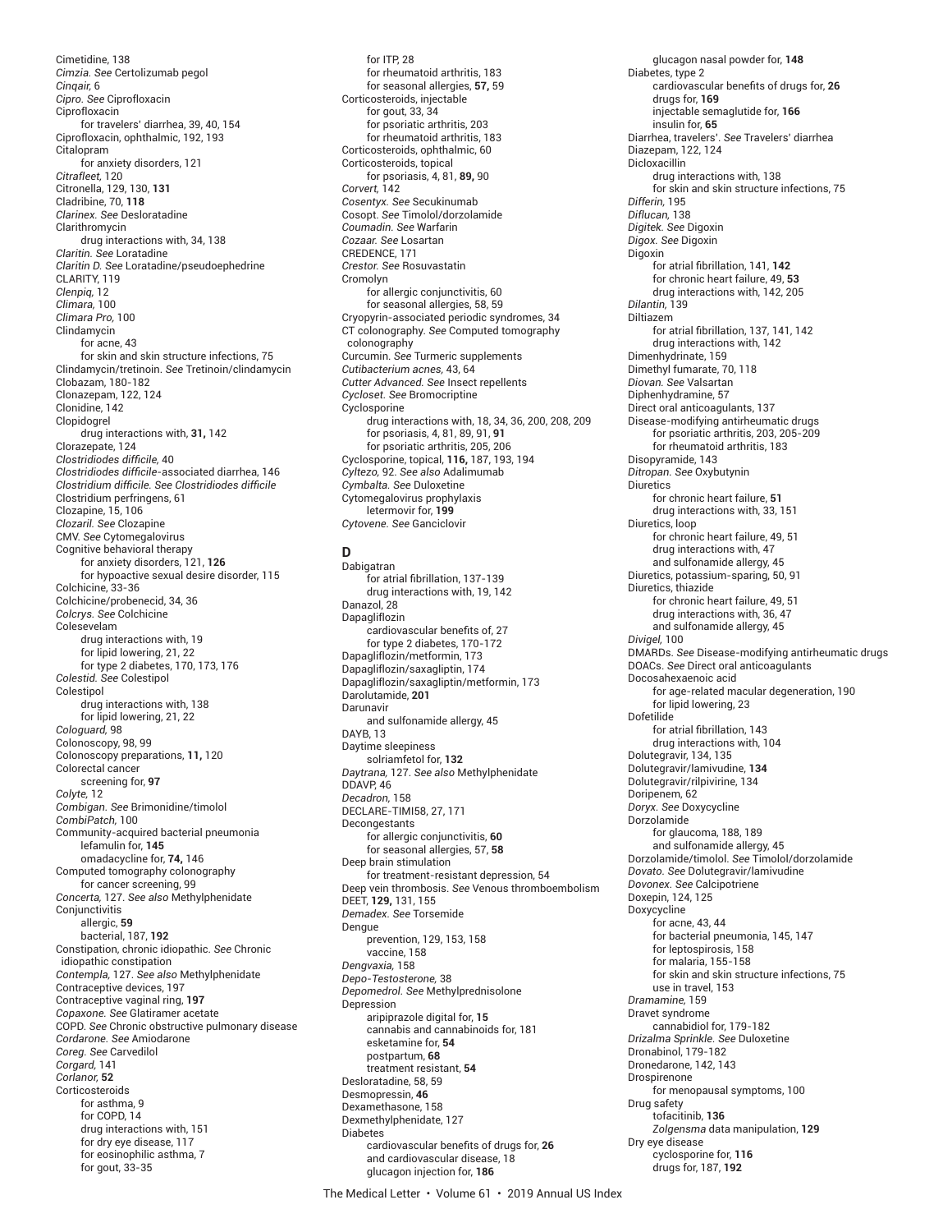Cimetidine, 138 *Cimzia. See* Certolizumab pegol *Cinqair,* 6 *Cipro. See* Ciprofloxacin Ciprofloxacin for travelers' diarrhea, 39, 40, 154 Ciprofloxacin, ophthalmic, 192, 193 Citalopram for anxiety disorders, 121 *Citrafleet,* 120 Citronella, 129, 130, **131** Cladribine, 70, **118** *Clarinex. See* Desloratadine Clarithromycin drug interactions with, 34, 138 *Claritin. See* Loratadine *Claritin D. See* Loratadine/pseudoephedrine CLARITY, 119 *Clenpiq,* 12 *Climara,* 100 *Climara Pro,* 100 Clindamycin for acne, 43 for skin and skin structure infections, 75 Clindamycin/tretinoin. *See* Tretinoin/clindamycin Clobazam, 180-182 Clonazepam, 122, 124 Clonidine, 142 Clopidogrel drug interactions with, **31,** 142 Clorazepate, 124 *Clostridiodes diffi cile,* 40 *Clostridiodes difficile-associated diarrhea,* 146 *Clostridium diffi cile. See Clostridiodes diffi cile* Clostridium perfringens, 61 Clozapine, 15, 106 *Clozaril. See* Clozapine CMV. *See* Cytomegalovirus Cognitive behavioral therapy for anxiety disorders, 121, **126** for hypoactive sexual desire disorder, 115 Colchicine, 33-36 Colchicine/probenecid, 34, 36 *Colcrys. See* Colchicine Colesevelam drug interactions with, 19 for lipid lowering, 21, 22 for type 2 diabetes, 170, 173, 176 *Colestid. See* Colestipol Colestipol drug interactions with, 138 for lipid lowering, 21, 22 *Cologuard,* 98 Colonoscopy, 98, 99 Colonoscopy preparations, **11,** 120 Colorectal cancer screening for, **97** *Colyte,* 12 *Combigan. See* Brimonidine/timolol *CombiPatch,* 100 Community-acquired bacterial pneumonia lefamulin for, **145** omadacycline for, **74,** 146 Computed tomography colonography for cancer screening, 99 *Concerta,* 127. *See also* Methylphenidate Conjunctivitis allergic, **59** bacterial, 187, **192** Constipation, chronic idiopathic. *See* Chronic idiopathic constipation *Contempla,* 127. *See also* Methylphenidate Contraceptive devices, 197 Contraceptive vaginal ring, **197** *Copaxone. See* Glatiramer acetate COPD. *See* Chronic obstructive pulmonary disease *Cordarone. See* Amiodarone *Coreg. See* Carvedilol *Corgard,* 141 *Corlanor,* **52** Corticosteroids for asthma, 9 for COPD, 14 drug interactions with, 151 for dry eye disease, 117 for eosinophilic asthma, 7 for gout, 33-35

for ITP<sub>28</sub> for rheumatoid arthritis, 183 for seasonal allergies, **57,** 59 Corticosteroids, injectable for gout, 33, 34 for psoriatic arthritis, 203 for rheumatoid arthritis, 183 Corticosteroids, ophthalmic, 60 Corticosteroids, topical for psoriasis, 4, 81, **89,** 90 *Corvert,* 142 *Cosentyx. See* Secukinumab Cosopt. *See* Timolol/dorzolamide *Coumadin. See* Warfarin *Cozaar. See* Losartan CREDENCE, 171 *Crestor. See* Rosuvastatin Cromolyn for allergic conjunctivitis, 60 for seasonal allergies, 58, 59 Cryopyrin-associated periodic syndromes, 34 CT colonography. *See* Computed tomography colonography Curcumin. *See* Turmeric supplements *Cutibacterium acnes,* 43, 64 *Cutter Advanced. See* Insect repellents *Cycloset. See* Bromocriptine Cyclosporine drug interactions with, 18, 34, 36, 200, 208, 209 for psoriasis, 4, 81, 89, 91, **91** for psoriatic arthritis, 205, 206 Cyclosporine, topical, **116,** 187, 193, 194 *Cyltezo,* 92. *See also* Adalimumab *Cymbalta. See* Duloxetine Cytomegalovirus prophylaxis letermovir for, **199** *Cytovene. See* Ganciclovir

## **D**

Dabigatran for atrial fibrillation, 137-139 drug interactions with, 19, 142 Danazol, 28 Dapagliflozin cardiovascular benefits of, 27 for type 2 diabetes, 170-172 Dapagliflozin/metformin, 173 Dapagliflozin/saxagliptin, 174 Dapagliflozin/saxagliptin/metformin, 173 Darolutamide, **201** Darunavir and sulfonamide allergy, 45 DAYB, 13 Daytime sleepiness solriamfetol for, **132** *Daytrana,* 127. *See also* Methylphenidate DDAVP, 46 *Decadron,* 158 DECLARE-TIMI58, 27, 171 Decongestants for allergic conjunctivitis, **60** for seasonal allergies, 57, **58** Deep brain stimulation for treatment-resistant depression, 54 Deep vein thrombosis. *See* Venous thromboembolism DEET, **129,** 131, 155 *Demadex. See* Torsemide Dengue prevention, 129, 153, 158 vaccine, 158 *Dengvaxia,* 158 *Depo-Testosterone,* 38 *Depomedrol. See* Methylprednisolone Depression aripiprazole digital for, **15** cannabis and cannabinoids for, 181 esketamine for, **54** postpartum, **68** treatment resistant, **54** Desloratadine, 58, 59 Desmopressin, **46** Dexamethasone, 158 Dexmethylphenidate, 127 Diabetes cardiovascular benefits of drugs for, 26 and cardiovascular disease, 18 glucagon injection for, **186**

glucagon nasal powder for, **148** Diabetes, type 2 cardiovascular benefits of drugs for, 26 drugs for, **169** injectable semaglutide for, **166** insulin for, **65** Diarrhea, travelers'. *See* Travelers' diarrhea Diazepam, 122, 124 Dicloxacillin drug interactions with, 138 for skin and skin structure infections, 75 *Differin,* 195 *Diflucan,* 138 *Digitek. See* Digoxin *Digox. See* Digoxin Digoxin for atrial fibrillation, 141, 142 for chronic heart failure, 49, **53** drug interactions with, 142, 205 *Dilantin,* 139 Diltiazem for atrial fibrillation, 137, 141, 142 drug interactions with, 142 Dimenhydrinate, 159 Dimethyl fumarate, 70, 118 *Diovan. See* Valsartan Diphenhydramine, 57 Direct oral anticoagulants, 137 Disease-modifying antirheumatic drugs for psoriatic arthritis, 203, 205-209 for rheumatoid arthritis, 183 Disopyramide, 143 *Ditropan. See* Oxybutynin **Diuretics** for chronic heart failure, **51** drug interactions with, 33, 151 Diuretics, loop for chronic heart failure, 49, 51 drug interactions with, 47 and sulfonamide allergy, 45 Diuretics, potassium-sparing, 50, 91 Diuretics, thiazide for chronic heart failure, 49, 51 drug interactions with, 36, 47 and sulfonamide allergy, 45 *Divigel,* 100 DMARDs. *See* Disease-modifying antirheumatic drugs DOACs. *See* Direct oral anticoagulants Docosahexaenoic acid for age-related macular degeneration, 190 for lipid lowering, 23 Dofetilide for atrial fibrillation, 143 drug interactions with, 104 Dolutegravir, 134, 135 Dolutegravir/lamivudine, **134** Dolutegravir/rilpivirine, 134 Doripenem, 62 *Doryx. See* Doxycycline Dorzolamide for glaucoma, 188, 189 and sulfonamide allergy, 45 Dorzolamide/timolol. *See* Timolol/dorzolamide *Dovato. See* Dolutegravir/lamivudine *Dovonex. See* Calcipotriene Doxepin, 124, 125 Doxycycline for acne, 43, 44 for bacterial pneumonia, 145, 147 for leptospirosis, 158 for malaria, 155-158 for skin and skin structure infections, 75 use in travel, 153 *Dramamine,* 159 Dravet syndrome cannabidiol for, 179-182 *Drizalma Sprinkle. See* Duloxetine Dronabinol, 179-182 Dronedarone, 142, 143 Drospirenone for menopausal symptoms, 100 Drug safety tofacitinib, **136** *Zolgensma* data manipulation, **129** Dry eye disease cyclosporine for, **116** drugs for, 187, **192**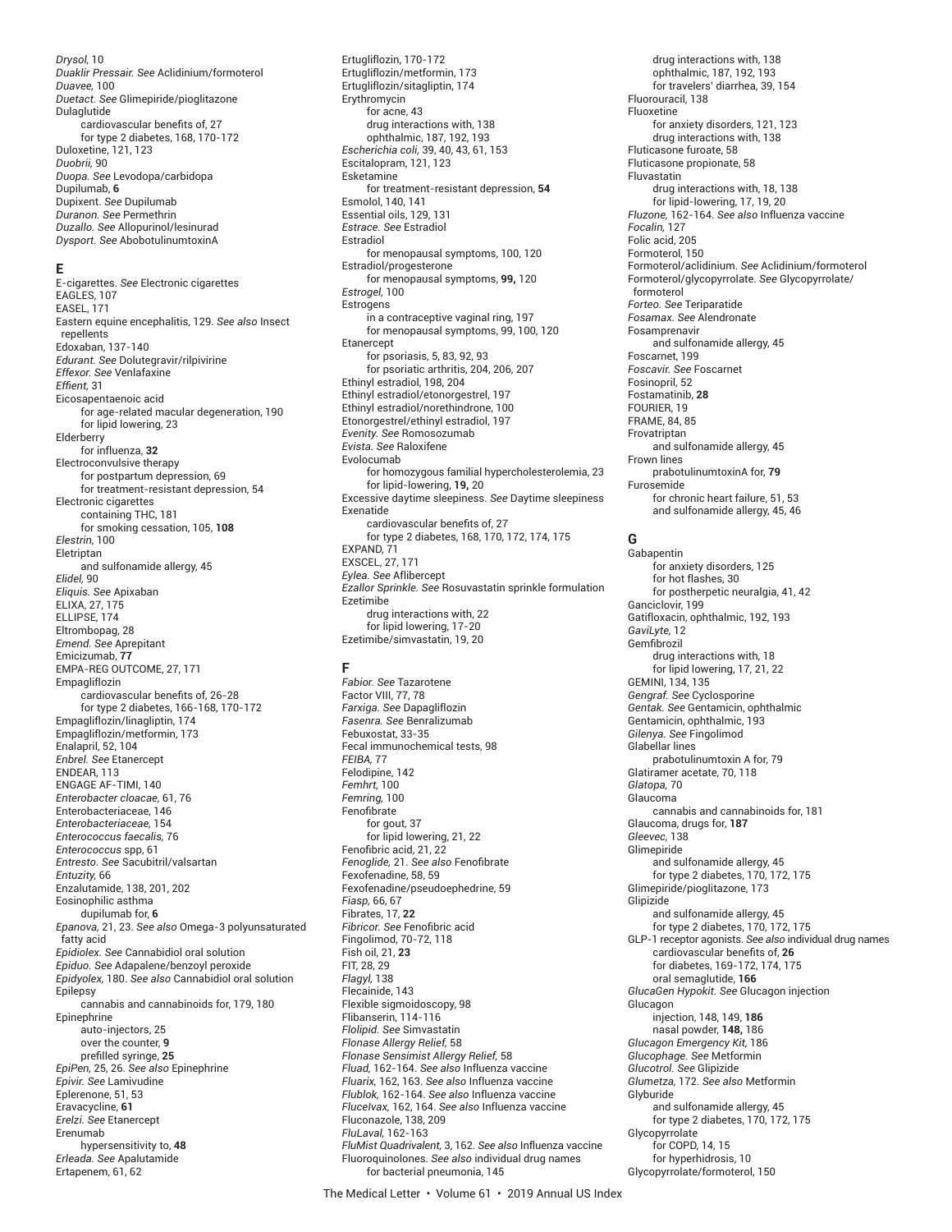*Drysol,* 10 *Duaklir Pressair. See* Aclidinium/formoterol *Duavee,* 100 *Duetact. See* Glimepiride/pioglitazone Dulaglutide  $\overline{\phantom{a}}$  cardiovascular benefits of. 27 for type 2 diabetes, 168, 170-172 Duloxetine, 121, 123 *Duobrii,* 90 *Duopa. See* Levodopa/carbidopa Dupilumab, **6** Dupixent. *See* Dupilumab *Duranon. See* Permethrin *Duzallo. See* Allopurinol/lesinurad *Dysport. See* AbobotulinumtoxinA

#### **E**

E-cigarettes. *See* Electronic cigarettes EAGLES, 107 EASEL, 171 Eastern equine encephalitis, 129. *See also* Insect repellents Edoxaban, 137-140 *Edurant. See* Dolutegravir/rilpivirine *Effexor. See* Venlafaxine *Effient*, 31 Eicosapentaenoic acid for age-related macular degeneration, 190 for lipid lowering, 23 Elderberry for influenza, **32** Electroconvulsive therapy for postpartum depression, 69 for treatment-resistant depression, 54 Electronic cigarettes containing THC, 181 for smoking cessation, 105, **108** *Elestrin,* 100 Eletriptan and sulfonamide allergy, 45 *Elidel,* 90 *Eliquis. See* Apixaban ELIXA, 27, 175 ELLIPSE, 174 Eltrombopag, 28 *Emend. See* Aprepitant Emicizumab, **77** EMPA-REG OUTCOME, 27, 171 Empagliflozin cardiovascular benefits of, 26-28 for type 2 diabetes, 166-168, 170-172 Empagliflozin/linagliptin, 174 Empagliflozin/metformin, 173 Enalapril, 52, 104 *Enbrel. See* Etanercept ENDEAR, 113 ENGAGE AF-TIMI, 140 *Enterobacter cloacae,* 61, 76 Enterobacteriaceae, 146 *Enterobacteriaceae,* 154 *Enterococcus faecalis,* 76 *Enterococcus* spp, 61 *Entresto. See* Sacubitril/valsartan *Entuzity,* 66 Enzalutamide, 138, 201, 202 Eosinophilic asthma dupilumab for, **6** *Epanova,* 21, 23. *See also* Omega-3 polyunsaturated fatty acid *Epidiolex. See* Cannabidiol oral solution *Epiduo. See* Adapalene/benzoyl peroxide *Epidyolex,* 180. *See also* Cannabidiol oral solution Epilepsy cannabis and cannabinoids for, 179, 180 Epinephrine auto-injectors, 25 over the counter, **9** prefilled syringe, 25 *EpiPen,* 25, 26. *See also* Epinephrine *Epivir. See* Lamivudine Eplerenone, 51, 53 Eravacycline, **61** *Erelzi. See* Etanercept Erenumab hypersensitivity to, **48** *Erleada. See* Apalutamide Ertapenem, 61, 62

Ertugliflozin, 170-172 Ertugliflozin/metformin, 173 Ertugliflozin/sitagliptin, 174 Erythromycin for acne, 43 drug interactions with, 138 ophthalmic, 187, 192, 193 *Escherichia coli,* 39, 40, 43, 61, 153 Escitalopram, 121, 123 Esketamine for treatment-resistant depression, **54** Esmolol, 140, 141 Essential oils, 129, 131 *Estrace. See* Estradiol Estradiol for menopausal symptoms, 100, 120 Estradiol/progesterone for menopausal symptoms, **99,** 120 *Estrogel,* 100 **Estrogens** in a contraceptive vaginal ring, 197 for menopausal symptoms, 99, 100, 120 Etanercept for psoriasis, 5, 83, 92, 93 for psoriatic arthritis, 204, 206, 207 Ethinyl estradiol, 198, 204 Ethinyl estradiol/etonorgestrel, 197 Ethinyl estradiol/norethindrone, 100 Etonorgestrel/ethinyl estradiol, 197 *Evenity. See* Romosozumab *Evista. See* Raloxifene Evolocumab for homozygous familial hypercholesterolemia, 23 for lipid-lowering, **19,** 20 Excessive daytime sleepiness. *See* Daytime sleepiness Exenatide cardiovascular benefits of, 27 for type 2 diabetes, 168, 170, 172, 174, 175 EXPAND, 71 EXSCEL, 27, 171 *Eylea. See* Aflibercept *Ezallor Sprinkle. See* Rosuvastatin sprinkle formulation Ezetimibe drug interactions with, 22 for lipid lowering, 17-20 Ezetimibe/simvastatin, 19, 20

# **F**

*Fabior. See* Tazarotene Factor VIII, 77, 78 *Farxiga. See* Dapagliflozin *Fasenra. See* Benralizumab Febuxostat, 33-35 Fecal immunochemical tests, 98 *FEIBA,* 77 Felodipine, 142 *Femhrt,* 100 *Femring,* 100 Fenofibrate for gout, 37 for lipid lowering, 21, 22 Fenofibric acid, 21, 22 *Fenoglide,* 21. *See also* Fenofi brate Fexofenadine, 58, 59 Fexofenadine/pseudoephedrine, 59 *Fiasp,* 66, 67 Fibrates, 17, **22 Fibricor.** See Fenofibric acid Fingolimod, 70-72, 118 Fish oil, 21, **23** FIT, 28, 29 *Flagyl,* 138 Flecainide, 143 Flexible sigmoidoscopy, 98 Flibanserin, 114-116 *Flolipid. See* Simvastatin *Flonase Allergy Relief,* 58 *Flonase Sensimist Allergy Relief,* 58 *Fluad,* 162-164. *See also* Influenza vaccine *Fluarix,* 162, 163. *See also* Influenza vaccine *Flublok,* 162-164. *See also* Influenza vaccine *FluceIvax,* 162, 164. *See also* Influenza vaccine Fluconazole, 138, 209 *FluLaval,* 162-163 *FluMist Quadrivalent,* 3, 162. *See also* Influenza vaccine Fluoroquinolones. *See also* individual drug names for bacterial pneumonia, 145

drug interactions with, 138 ophthalmic, 187, 192, 193 for travelers' diarrhea, 39, 154 Fluorouracil, 138 Fluoxetine for anxiety disorders, 121, 123 drug interactions with, 138 Fluticasone furoate, 58 Fluticasone propionate, 58 Fluvastatin drug interactions with, 18, 138 for lipid-lowering, 17, 19, 20 *Fluzone,* 162-164. *See also* Influenza vaccine *Focalin,* 127 Folic acid, 205 Formoterol, 150 Formoterol/aclidinium. *See* Aclidinium/formoterol Formoterol/glycopyrrolate. *See* Glycopyrrolate/ formoterol *Forteo. See* Teriparatide *Fosamax. See* Alendronate Fosamprenavir and sulfonamide allergy, 45 Foscarnet, 199 *Foscavir. See* Foscarnet Fosinopril, 52 Fostamatinib, **28** FOURIER, 19 FRAME, 84, 85 Frovatriptan and sulfonamide allergy, 45 Frown lines prabotulinumtoxinA for, **79** Furosemide for chronic heart failure, 51, 53 and sulfonamide allergy, 45, 46

## **G**

Gabapentin for anxiety disorders, 125 for hot flashes, 30 for postherpetic neuralgia, 41, 42 Ganciclovir, 199 Gatifloxacin, ophthalmic, 192, 193 *GaviLyte,* 12 Gemfibrozil drug interactions with, 18 for lipid lowering, 17, 21, 22 GEMINI, 134, 135 *Gengraf. See* Cyclosporine *Gentak. See* Gentamicin, ophthalmic Gentamicin, ophthalmic, 193 *Gilenya. See* Fingolimod Glabellar lines prabotulinumtoxin A for, 79 Glatiramer acetate, 70, 118 *Glatopa,* 70 Glaucoma cannabis and cannabinoids for, 181 Glaucoma, drugs for, **187** *Gleevec,* 138 Glimepiride and sulfonamide allergy, 45 for type 2 diabetes, 170, 172, 175 Glimepiride/pioglitazone, 173 Glipizide and sulfonamide allergy, 45 for type 2 diabetes, 170, 172, 175 GLP-1 receptor agonists. *See also* individual drug names cardiovascular benefits of, 26 for diabetes, 169-172, 174, 175 oral semaglutide, **166** *GlucaGen Hypokit. See* Glucagon injection Glucagon injection, 148, 149, **186** nasal powder, **148,** 186 *Glucagon Emergency Kit,* 186 *Glucophage. See* Metformin *Glucotrol. See* Glipizide *Glumetza,* 172. *See also* Metformin Glyburide and sulfonamide allergy, 45 for type 2 diabetes, 170, 172, 175 Glycopyrrolate for COPD, 14, 15 for hyperhidrosis, 10 Glycopyrrolate/formoterol, 150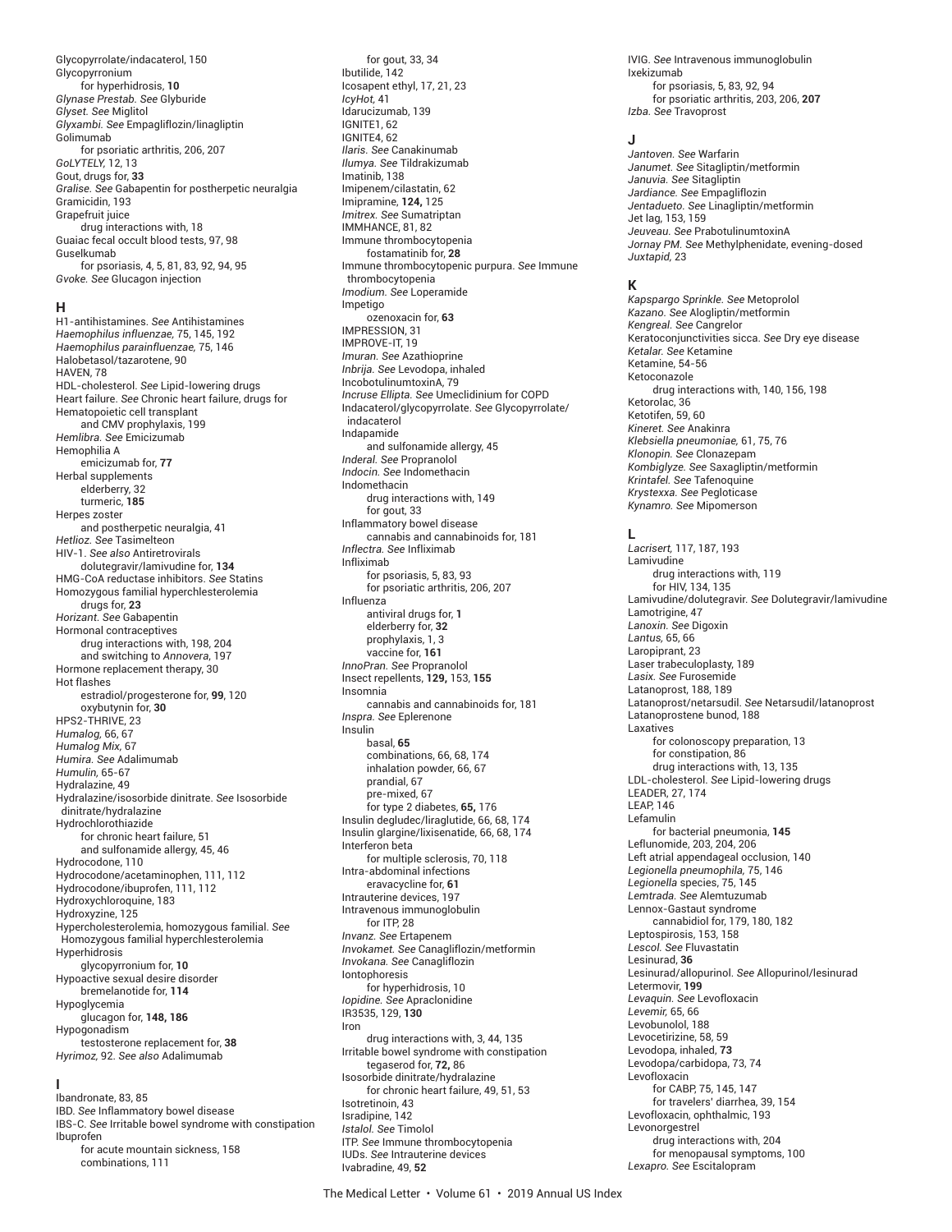Glycopyrrolate/indacaterol, 150 Glycopyrronium for hyperhidrosis, **10** *Glynase Prestab. See* Glyburide *Glyset. See* Miglitol *Glyxambi. See* Empagliflozin/linagliptin Golimumab for psoriatic arthritis, 206, 207 *GoLYTELY,* 12, 13 Gout, drugs for, **33** *Gralise. See* Gabapentin for postherpetic neuralgia Gramicidin, 193 Grapefruit juice drug interactions with, 18 Guaiac fecal occult blood tests, 97, 98 Guselkumab for psoriasis, 4, 5, 81, 83, 92, 94, 95 *Gvoke. See* Glucagon injection

#### **H**

H1-antihistamines. *See* Antihistamines *Haemophilus influenzae,* 75, 145, 192 *Haemophilus parainfluenzae,* 75, 146 Halobetasol/tazarotene, 90 HAVEN, 78 HDL-cholesterol. *See* Lipid-lowering drugs Heart failure. *See* Chronic heart failure, drugs for Hematopoietic cell transplant and CMV prophylaxis, 199 *Hemlibra. See* Emicizumab Hemophilia A emicizumab for, **77** Herbal supplements elderberry, 32 turmeric, **185** Herpes zoster and postherpetic neuralgia, 41 *Hetlioz. See* Tasimelteon HIV-1. *See also* Antiretrovirals dolutegravir/lamivudine for, **134** HMG-CoA reductase inhibitors. *See* Statins Homozygous familial hyperchlesterolemia drugs for, **23** *Horizant. See* Gabapentin Hormonal contraceptives drug interactions with, 198, 204 and switching to *Annovera*, 197 Hormone replacement therapy, 30 Hot flashes estradiol/progesterone for, **99**, 120 oxybutynin for, **30** HPS2-THRIVE, 23 *Humalog,* 66, 67 *Humalog Mix,* 67 *Humira. See* Adalimumab *Humulin,* 65-67 Hydralazine, 49 Hydralazine/isosorbide dinitrate. *See* Isosorbide dinitrate/hydralazine Hydrochlorothiazide for chronic heart failure, 51 and sulfonamide allergy, 45, 46 Hydrocodone, 110 Hydrocodone/acetaminophen, 111, 112 Hydrocodone/ibuprofen, 111, 112 Hydroxychloroquine, 183 Hydroxyzine, 125 Hypercholesterolemia, homozygous familial. *See* Homozygous familial hyperchlesterolemia Hyperhidrosis glycopyrronium for, **10** Hypoactive sexual desire disorder bremelanotide for, **114** Hypoglycemia glucagon for, **148, 186** Hypogonadism testosterone replacement for, **38** *Hyrimoz,* 92. *See also* Adalimumab **I**

Ibandronate, 83, 85 IBD. *See* Inflammatory bowel disease IBS-C. *See* Irritable bowel syndrome with constipation Ibuprofen for acute mountain sickness, 158 combinations, 111

Ibutilide, 142 Icosapent ethyl, 17, 21, 23 *IcyHot,* 41 Idarucizumab, 139 IGNITE1, 62 IGNITE4, 62 *Ilaris. See* Canakinumab *Ilumya. See* Tildrakizumab Imatinib, 138 Imipenem/cilastatin, 62 Imipramine, **124,** 125 *Imitrex. See* Sumatriptan IMMHANCE, 81, 82 Immune thrombocytopenia fostamatinib for, **28** Immune thrombocytopenic purpura. *See* Immune thrombocytopenia *Imodium. See* Loperamide Impetigo ozenoxacin for, **63** IMPRESSION, 31 IMPROVE-IT, 19 *Imuran. See* Azathioprine *Inbrija. See* Levodopa, inhaled IncobotulinumtoxinA, 79 *Incruse Ellipta. See* Umeclidinium for COPD Indacaterol/glycopyrrolate. *See* Glycopyrrolate/ indacaterol Indapamide and sulfonamide allergy, 45 *Inderal. See* Propranolol *Indocin. See* Indomethacin Indomethacin drug interactions with, 149 for gout, 33 Inflammatory bowel disease cannabis and cannabinoids for, 181 *Inflectra. See* Infliximab Infliximab for psoriasis, 5, 83, 93 for psoriatic arthritis, 206, 207 Influenza antiviral drugs for, **1** elderberry for, **32** prophylaxis, 1, 3 vaccine for, **161** *InnoPran. See* Propranolol Insect repellents, **129,** 153, **155** Insomnia cannabis and cannabinoids for, 181 *Inspra. See* Eplerenone Insulin basal, **65** combinations, 66, 68, 174 inhalation powder, 66, 67 prandial, 67 pre-mixed, 67 for type 2 diabetes, **65,** 176 Insulin degludec/liraglutide, 66, 68, 174 Insulin glargine/lixisenatide, 66, 68, 174 Interferon beta for multiple sclerosis, 70, 118 Intra-abdominal infections eravacycline for, **61** Intrauterine devices, 197 Intravenous immunoglobulin for ITP, 28 *Invanz. See* Ertapenem *Invokamet. See* Canagliflozin/metformin *Invokana. See* Canagliflozin Iontophoresis for hyperhidrosis, 10 *Iopidine. See* Apraclonidine IR3535, 129, **130** Iron drug interactions with, 3, 44, 135 Irritable bowel syndrome with constipation tegaserod for, **72,** 86 Isosorbide dinitrate/hydralazine for chronic heart failure, 49, 51, 53 Isotretinoin, 43 Isradipine, 142 *Istalol. See* Timolol ITP. *See* Immune thrombocytopenia IUDs. *See* Intrauterine devices Ivabradine, 49, **52**

for gout, 33, 34

IVIG. *See* Intravenous immunoglobulin Ixekizumab for psoriasis, 5, 83, 92, 94 for psoriatic arthritis, 203, 206, **207** *Izba. See* Travoprost

#### **J**

*Jantoven. See* Warfarin *Janumet. See* Sitagliptin/metformin *Januvia. See* Sitagliptin *Jardiance. See* Empagliflozin *Jentadueto. See* Linagliptin/metformin Jet lag, 153, 159 *Jeuveau. See* PrabotulinumtoxinA *Jornay PM. See* Methylphenidate, evening-dosed *Juxtapid,* 23

#### **K**

*Kapspargo Sprinkle. See* Metoprolol *Kazano. See* Alogliptin/metformin *Kengreal. See* Cangrelor Keratoconjunctivities sicca. *See* Dry eye disease *Ketalar. See* Ketamine Ketamine, 54-56 Ketoconazole drug interactions with, 140, 156, 198 Ketorolac, 36 Ketotifen, 59, 60 *Kineret. See* Anakinra *Klebsiella pneumoniae,* 61, 75, 76 *Klonopin. See* Clonazepam *Kombiglyze. See* Saxagliptin/metformin *Krintafel. See* Tafenoquine *Krystexxa. See* Pegloticase *Kynamro. See* Mipomerson

#### **L**

*Lacrisert,* 117, 187, 193 Lamivudine drug interactions with, 119 for HIV, 134, 135 Lamivudine/dolutegravir. *See* Dolutegravir/lamivudine Lamotrigine, 47 *Lanoxin. See* Digoxin *Lantus,* 65, 66 Laropiprant, 23 Laser trabeculoplasty, 189 *Lasix. See* Furosemide Latanoprost, 188, 189 Latanoprost/netarsudil. *See* Netarsudil/latanoprost Latanoprostene bunod, 188 Laxatives for colonoscopy preparation, 13 for constipation, 86 drug interactions with, 13, 135 LDL-cholesterol. *See* Lipid-lowering drugs LEADER, 27, 174 LEAP, 146 Lefamulin for bacterial pneumonia, **145** Leflunomide, 203, 204, 206 Left atrial appendageal occlusion, 140 *Legionella pneumophila,* 75, 146 *Legionella* species, 75, 145 *Lemtrada. See* Alemtuzumab Lennox-Gastaut syndrome cannabidiol for, 179, 180, 182 Leptospirosis, 153, 158 *Lescol. See* Fluvastatin Lesinurad, **36** Lesinurad/allopurinol. *See* Allopurinol/lesinurad Letermovir, **199** *Levaquin. See* Levofloxacin *Levemir,* 65, 66 Levobunolol, 188 Levocetirizine, 58, 59 Levodopa, inhaled, **73** Levodopa/carbidopa, 73, 74 Levofloxacin for CABP, 75, 145, 147 for travelers' diarrhea, 39, 154 Levofloxacin, ophthalmic, 193 Levonorgestrel drug interactions with, 204 for menopausal symptoms, 100 *Lexapro. See* Escitalopram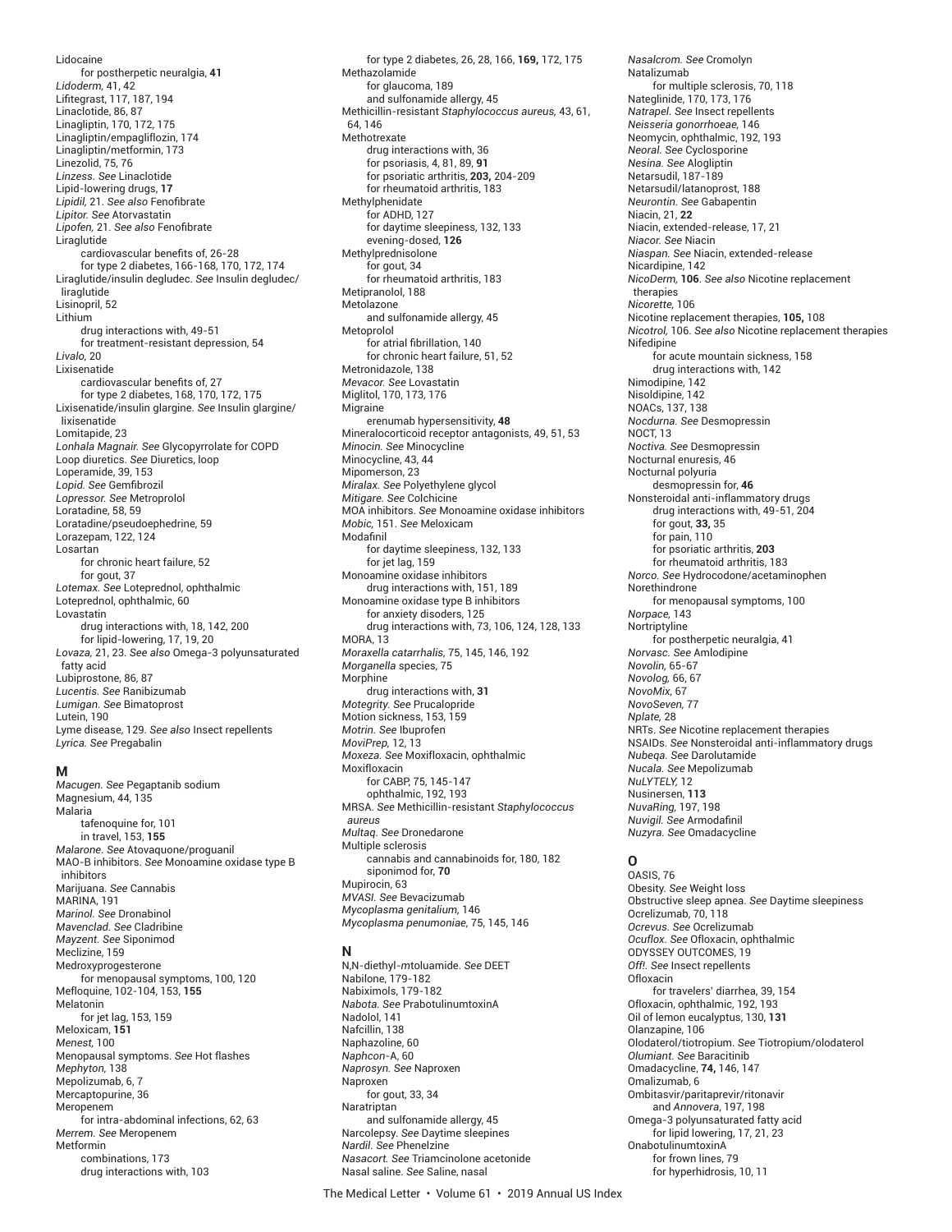Lidocaine for postherpetic neuralgia, **41** *Lidoderm,* 41, 42 Lifi tegrast, 117, 187, 194 Linaclotide, 86, 87 Linagliptin, 170, 172, 175 Linagliptin/empagliflozin, 174 Linagliptin/metformin, 173 Linezolid, 75, 76 *Linzess. See* Linaclotide Lipid-lowering drugs, **17** *Lipidil,* 21. *See also* Fenofi brate *Lipitor. See* Atorvastatin Lipofen, 21. See also Fenofibrate Liraglutide cardiovascular benefits of, 26-28 for type 2 diabetes, 166-168, 170, 172, 174 Liraglutide/insulin degludec. *See* Insulin degludec/ liraglutide Lisinopril, 52 Lithium drug interactions with, 49-51 for treatment-resistant depression, 54 *Livalo,* 20 Lixisenatide cardiovascular benefits of, 27 for type 2 diabetes, 168, 170, 172, 175 Lixisenatide/insulin glargine. *See* Insulin glargine/ lixisenatide Lomitapide, 23 *Lonhala Magnair. See* Glycopyrrolate for COPD Loop diuretics. *See* Diuretics, loop Loperamide, 39, 153 Lopid. See Gemfibrozil *Lopressor. See* Metroprolol Loratadine, 58, 59 Loratadine/pseudoephedrine, 59 Lorazepam, 122, 124 Losartan for chronic heart failure, 52 for gout, 37 *Lotemax. See* Loteprednol, ophthalmic Loteprednol, ophthalmic, 60 Lovastatin drug interactions with, 18, 142, 200 for lipid-lowering, 17, 19, 20 *Lovaza,* 21, 23. *See also* Omega-3 polyunsaturated fatty acid Lubiprostone, 86, 87 *Lucentis. See* Ranibizumab *Lumigan. See* Bimatoprost Lutein, 190 Lyme disease, 129. *See also* Insect repellents *Lyrica. See* Pregabalin

#### **M**

*Macugen. See* Pegaptanib sodium Magnesium, 44, 135 Malaria tafenoquine for, 101 in travel, 153, **155** *Malarone. See* Atovaquone/proguanil MAO-B inhibitors. *See* Monoamine oxidase type B inhibitors Marijuana. *See* Cannabis MARINA, 191 *Marinol. See* Dronabinol *Mavenclad. See* Cladribine *Mayzent. See* Siponimod Meclizine, 159 Medroxyprogesterone for menopausal symptoms, 100, 120 Mefloquine, 102-104, 153, **155** Melatonin for jet lag, 153, 159 Meloxicam, **151** *Menest,* 100 Menopausal symptoms. *See* Hot flashes *Mephyton,* 138 Mepolizumab, 6, 7 Mercaptopurine, 36 Meropenem for intra-abdominal infections, 62, 63 *Merrem. See* Meropenem Metformin combinations, 173 drug interactions with, 103

for type 2 diabetes, 26, 28, 166, **169,** 172, 175 Methazolamide for glaucoma, 189 and sulfonamide allergy, 45 Methicillin-resistant *Staphylococcus aureus,* 43, 61, 64, 146 Methotrexate drug interactions with, 36 for psoriasis, 4, 81, 89, **91** for psoriatic arthritis, **203,** 204-209 for rheumatoid arthritis, 183 Methylphenidate for ADHD, 127 for daytime sleepiness, 132, 133 evening-dosed, **126** Methylprednisolone for gout, 34 for rheumatoid arthritis, 183 Metipranolol, 188 Metolazone and sulfonamide allergy, 45 Metoprolol for atrial fibrillation, 140 for chronic heart failure, 51, 52 Metronidazole, 138 *Mevacor. See* Lovastatin Miglitol, 170, 173, 176 Migraine erenumab hypersensitivity, **48** Mineralocorticoid receptor antagonists, 49, 51, 53 *Minocin. See* Minocycline Minocycline, 43, 44 Mipomerson, 23 *Miralax. See* Polyethylene glycol *Mitigare. See* Colchicine MOA inhibitors. *See* Monoamine oxidase inhibitors *Mobic,* 151. *See* Meloxicam Modafinil for daytime sleepiness, 132, 133 for jet lag, 159 Monoamine oxidase inhibitors drug interactions with, 151, 189 Monoamine oxidase type B inhibitors for anxiety disoders, 125 drug interactions with, 73, 106, 124, 128, 133 MORA, 13 *Moraxella catarrhalis,* 75, 145, 146, 192 *Morganella* species, 75 Morphine drug interactions with, **31** *Motegrity. See* Prucalopride Motion sickness, 153, 159 *Motrin. See* Ibuprofen *MoviPrep,* 12, 13 *Moxeza. See* Moxifloxacin, ophthalmic Moxifloxacin for CABP, 75, 145-147 ophthalmic, 192, 193 MRSA. *See* Methicillin-resistant *Staphylococcus aureus Multaq. See* Dronedarone Multiple sclerosis cannabis and cannabinoids for, 180, 182 siponimod for, **70** Mupirocin, 63 *MVASI. See* Bevacizumab *Mycoplasma genitalium,* 146 *Mycoplasma penumoniae,* 75, 145, 146

#### **N**

N,N-diethyl-*m*toluamide. *See* DEET Nabilone, 179-182 Nabiximols, 179-182 *Nabota. See* PrabotulinumtoxinA Nadolol, 141 Nafcillin, 138 Naphazoline, 60 *Naphcon*-A, 60 *Naprosyn. See* Naproxen Naproxen for gout, 33, 34 Naratriptan and sulfonamide allergy, 45 Narcolepsy. *See* Daytime sleepines *Nardil. See* Phenelzine *Nasacort. See* Triamcinolone acetonide Nasal saline. *See* Saline, nasal

*Neoral. See* Cyclosporine *Nesina. See* Alogliptin Netarsudil, 187-189 Netarsudil/latanoprost, 188 *Neurontin. See* Gabapentin Niacin, 21, **22** Niacin, extended-release, 17, 21 *Niacor. See* Niacin *Niaspan. See* Niacin, extended-release Nicardipine, 142 *NicoDerm,* **106**. *See also* Nicotine replacement therapies *Nicorette,* 106 Nicotine replacement therapies, **105,** 108 *Nicotrol,* 106. *See also* Nicotine replacement therapies Nifedipine for acute mountain sickness, 158 drug interactions with, 142 Nimodipine, 142 Nisoldipine, 142 NOACs, 137, 138 *Nocdurna. See* Desmopressin NOCT, 13 *Noctiva. See* Desmopressin Nocturnal enuresis, 46 Nocturnal polyuria desmopressin for, **46** Nonsteroidal anti-inflammatory drugs drug interactions with, 49-51, 204 for gout, **33,** 35 for pain, 110 for psoriatic arthritis, **203** for rheumatoid arthritis, 183 *Norco. See* Hydrocodone/acetaminophen Norethindrone for menopausal symptoms, 100 *Norpace,* 143 Nortriptyline for postherpetic neuralgia, 41 *Norvasc. See* Amlodipine *Novolin,* 65-67 *Novolog,* 66, 67 *NovoMix,* 67 *NovoSeven,* 77 *Nplate,* 28 NRTs. *See* Nicotine replacement therapies NSAIDs. *See* Nonsteroidal anti-inflammatory drugs *Nubeqa. See* Darolutamide *Nucala. See* Mepolizumab *NuLYTELY,* 12 Nusinersen, **113** *NuvaRing,* 197, 198 *Nuvigil.* See Armodafinil *Nuzyra. See* Omadacycline **O** OASIS, 76

*Nasalcrom. See* Cromolyn

Nateglinide, 170, 173, 176 *Natrapel. See* Insect repellents *Neisseria gonorrhoeae,* 146 Neomycin, ophthalmic, 192, 193

for multiple sclerosis, 70, 118

Natalizumab

Obesity. *See* Weight loss Obstructive sleep apnea. *See* Daytime sleepiness Ocrelizumab, 70, 118 *Ocrevus. See* Ocrelizumab *Ocuflox. See* Ofloxacin, ophthalmic ODYSSEY OUTCOMES, 19 *Off!. See* Insect repellents **Ofloxacin** for travelers' diarrhea, 39, 154 Ofloxacin, ophthalmic, 192, 193 Oil of lemon eucalyptus, 130, **131** Olanzapine, 106 Olodaterol/tiotropium. *See* Tiotropium/olodaterol *Olumiant. See* Baracitinib Omadacycline, **74,** 146, 147 Omalizumab, 6 Ombitasvir/paritaprevir/ritonavir and *Annovera*, 197, 198 Omega-3 polyunsaturated fatty acid for lipid lowering, 17, 21, 23 OnabotulinumtoxinA for frown lines, 79 for hyperhidrosis, 10, 11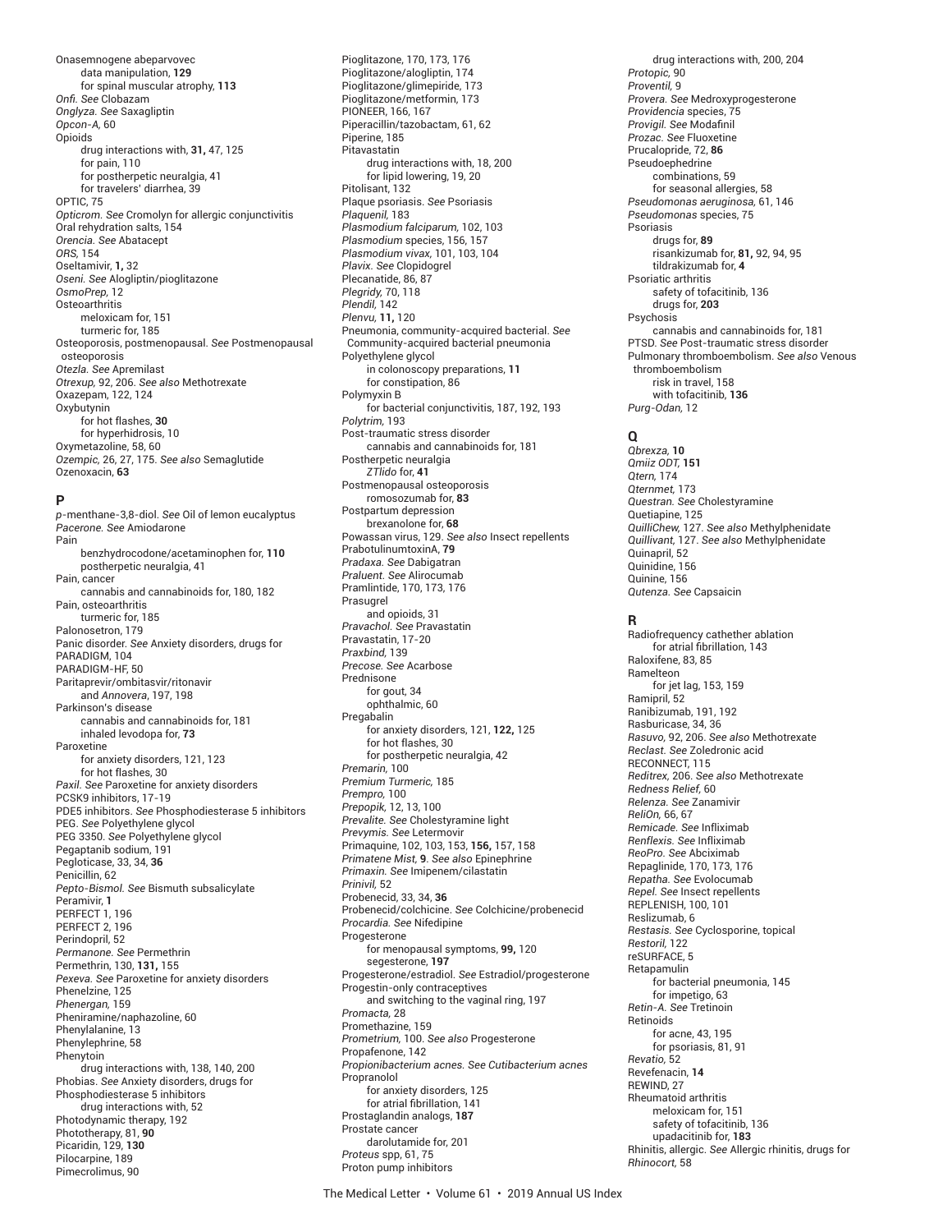Onasemnogene abeparvovec data manipulation, **129** for spinal muscular atrophy, **113** *Onfi . See* Clobazam *Onglyza. See* Saxagliptin *Opcon-A,* 60 Opioids drug interactions with, **31,** 47, 125 for pain, 110 for postherpetic neuralgia, 41 for travelers' diarrhea, 39 OPTIC, 75 *Opticrom. See* Cromolyn for allergic conjunctivitis Oral rehydration salts, 154 *Orencia. See* Abatacept *ORS,* 154 Oseltamivir, **1,** 32 *Oseni. See* Alogliptin/pioglitazone *OsmoPrep,* 12 **Osteoarthritis** meloxicam for, 151 turmeric for, 185 Osteoporosis, postmenopausal. *See* Postmenopausal osteoporosis *Otezla. See* Apremilast *Otrexup,* 92, 206. *See also* Methotrexate Oxazepam, 122, 124 Oxybutynin for hot flashes, **30** for hyperhidrosis, 10 Oxymetazoline, 58, 60 *Ozempic,* 26, 27, 175. *See also* Semaglutide Ozenoxacin, **63**

#### **P**

*p*-menthane-3,8-diol. *See* Oil of lemon eucalyptus *Pacerone. See* Amiodarone Pain benzhydrocodone/acetaminophen for, **110** postherpetic neuralgia, 41 Pain, cancer cannabis and cannabinoids for, 180, 182 Pain, osteoarthritis turmeric for, 185 Palonosetron, 179 Panic disorder. *See* Anxiety disorders, drugs for PARADIGM, 104 PARADIGM-HF, 50 Paritaprevir/ombitasvir/ritonavir and *Annovera*, 197, 198 Parkinson's disease cannabis and cannabinoids for, 181 inhaled levodopa for, **73** Paroxetine for anxiety disorders, 121, 123 for hot flashes, 30 *Paxil. See* Paroxetine for anxiety disorders PCSK9 inhibitors, 17-19 PDE5 inhibitors. *See* Phosphodiesterase 5 inhibitors PEG. *See* Polyethylene glycol PEG 3350. *See* Polyethylene glycol Pegaptanib sodium, 191 Pegloticase, 33, 34, **36** Penicillin, 62 *Pepto-Bismol. See* Bismuth subsalicylate Peramivir, **1** PERFECT 1, 196 PERFECT 2, 196 Perindopril, 52 *Permanone. See* Permethrin Permethrin, 130, **131,** 155 *Pexeva. See* Paroxetine for anxiety disorders Phenelzine, 125 *Phenergan,* 159 Pheniramine/naphazoline, 60 Phenylalanine, 13 Phenylephrine, 58 Phenytoin drug interactions with, 138, 140, 200 Phobias. *See* Anxiety disorders, drugs for Phosphodiesterase 5 inhibitors drug interactions with, 52 Photodynamic therapy, 192 Phototherapy, 81, **90** Picaridin, 129, **130** Pilocarpine, 189 Pimecrolimus, 90

Pioglitazone, 170, 173, 176 Pioglitazone/alogliptin, 174 Pioglitazone/glimepiride, 173 Pioglitazone/metformin, 173 PIONEER, 166, 167 Piperacillin/tazobactam, 61, 62 Piperine, 185 Pitavastatin drug interactions with, 18, 200 for lipid lowering, 19, 20 Pitolisant, 132 Plaque psoriasis. *See* Psoriasis *Plaquenil,* 183 *Plasmodium falciparum,* 102, 103 *Plasmodium* species, 156, 157 *Plasmodium vivax,* 101, 103, 104 *Plavix. See* Clopidogrel Plecanatide, 86, 87 *Plegridy,* 70, 118 *Plendil,* 142 *Plenvu,* **11,** 120 Pneumonia, community-acquired bacterial. *See* Community-acquired bacterial pneumonia Polyethylene glycol in colonoscopy preparations, **11** for constipation, 86 Polymyxin B for bacterial conjunctivitis, 187, 192, 193 *Polytrim,* 193 Post-traumatic stress disorder cannabis and cannabinoids for, 181 Postherpetic neuralgia *ZTlido* for, **41** Postmenopausal osteoporosis romosozumab for, **83** Postpartum depression brexanolone for, **68** Powassan virus, 129. *See also* Insect repellents PrabotulinumtoxinA, **79** *Pradaxa. See* Dabigatran *Praluent. See* Alirocumab Pramlintide, 170, 173, 176 Prasugrel and opioids, 31 *Pravachol. See* Pravastatin Pravastatin, 17-20 *Praxbind,* 139 *Precose. See* Acarbose Prednisone for gout, 34 ophthalmic, 60 **Pregabalin** for anxiety disorders, 121, **122,** 125 for hot flashes, 30 for postherpetic neuralgia, 42 *Premarin,* 100 *Premium Turmeric,* 185 *Prempro,* 100 *Prepopik,* 12, 13, 100 *Prevalite. See* Cholestyramine light *Prevymis. See* Letermovir Primaquine, 102, 103, 153, **156,** 157, 158 *Primatene Mist,* **9**. *See also* Epinephrine *Primaxin. See* Imipenem/cilastatin *Prinivil,* 52 Probenecid, 33, 34, **36** Probenecid/colchicine. *See* Colchicine/probenecid *Procardia. See* Nifedipine Progesterone for menopausal symptoms, **99,** 120 segesterone, **197** Progesterone/estradiol. *See* Estradiol/progesterone Progestin-only contraceptives and switching to the vaginal ring, 197 *Promacta,* 28 Promethazine, 159 *Prometrium,* 100. *See also* Progesterone Propafenone, 142 *Propionibacterium acnes. See Cutibacterium acnes* Propranolol for anxiety disorders, 125 for atrial fibrillation, 141 Prostaglandin analogs, **187** Prostate cancer darolutamide for, 201 *Proteus* spp, 61, 75 Proton pump inhibitors

drug interactions with, 200, 204 *Protopic,* 90 *Proventil,* 9 *Provera. See* Medroxyprogesterone *Providencia* species, 75 *Provigil.* See Modafinil *Prozac. See* Fluoxetine Prucalopride, 72, **86** Pseudoephedrine combinations, 59 for seasonal allergies, 58 *Pseudomonas aeruginosa,* 61, 146 *Pseudomonas* species, 75 Psoriasis drugs for, **89** risankizumab for, **81,** 92, 94, 95 tildrakizumab for, **4** Psoriatic arthritis safety of tofacitinib, 136 drugs for, **203** Psychosis cannabis and cannabinoids for, 181 PTSD. *See* Post-traumatic stress disorder Pulmonary thromboembolism. *See also* Venous thromboembolism risk in travel, 158 with tofacitinib, **136** *Purg-Odan,* 12

### **Q**

*Qbrexza,* **10** *Qmiiz ODT,* **151** *Qtern,* 174 *Qternmet,* 173 *Questran. See* Cholestyramine Quetiapine, 125 *QuilliChew,* 127. *See also* Methylphenidate *Quillivant,* 127. *See also* Methylphenidate Quinapril, 52 Quinidine, 156 Quinine, 156 *Qutenza. See* Capsaicin

#### **R**

Radiofrequency cathether ablation for atrial fibrillation, 143 Raloxifene, 83, 85 Ramelteon for jet lag, 153, 159 Ramipril, 52 Ranibizumab, 191, 192 Rasburicase, 34, 36 *Rasuvo,* 92, 206. *See also* Methotrexate *Reclast. See* Zoledronic acid RECONNECT, 115 *Reditrex,* 206. *See also* Methotrexate *Redness Relief,* 60 *Relenza. See* Zanamivir *ReliOn,* 66, 67 *Remicade. See* Infliximab *Renflexis. See* Infliximab *ReoPro. See* Abciximab Repaglinide, 170, 173, 176 *Repatha. See* Evolocumab *Repel. See* Insect repellents REPLENISH, 100, 101 Reslizumab, 6 *Restasis. See* Cyclosporine, topical *Restoril,* 122 reSURFACE, 5 Retapamulin for bacterial pneumonia, 145 for impetigo, 63 *Retin-A. See* Tretinoin Retinoids for acne, 43, 195 for psoriasis, 81, 91 *Revatio,* 52 Revefenacin, **14** REWIND, 27 Rheumatoid arthritis meloxicam for, 151 safety of tofacitinib, 136 upadacitinib for, **183** Rhinitis, allergic. *See* Allergic rhinitis, drugs for *Rhinocort,* 58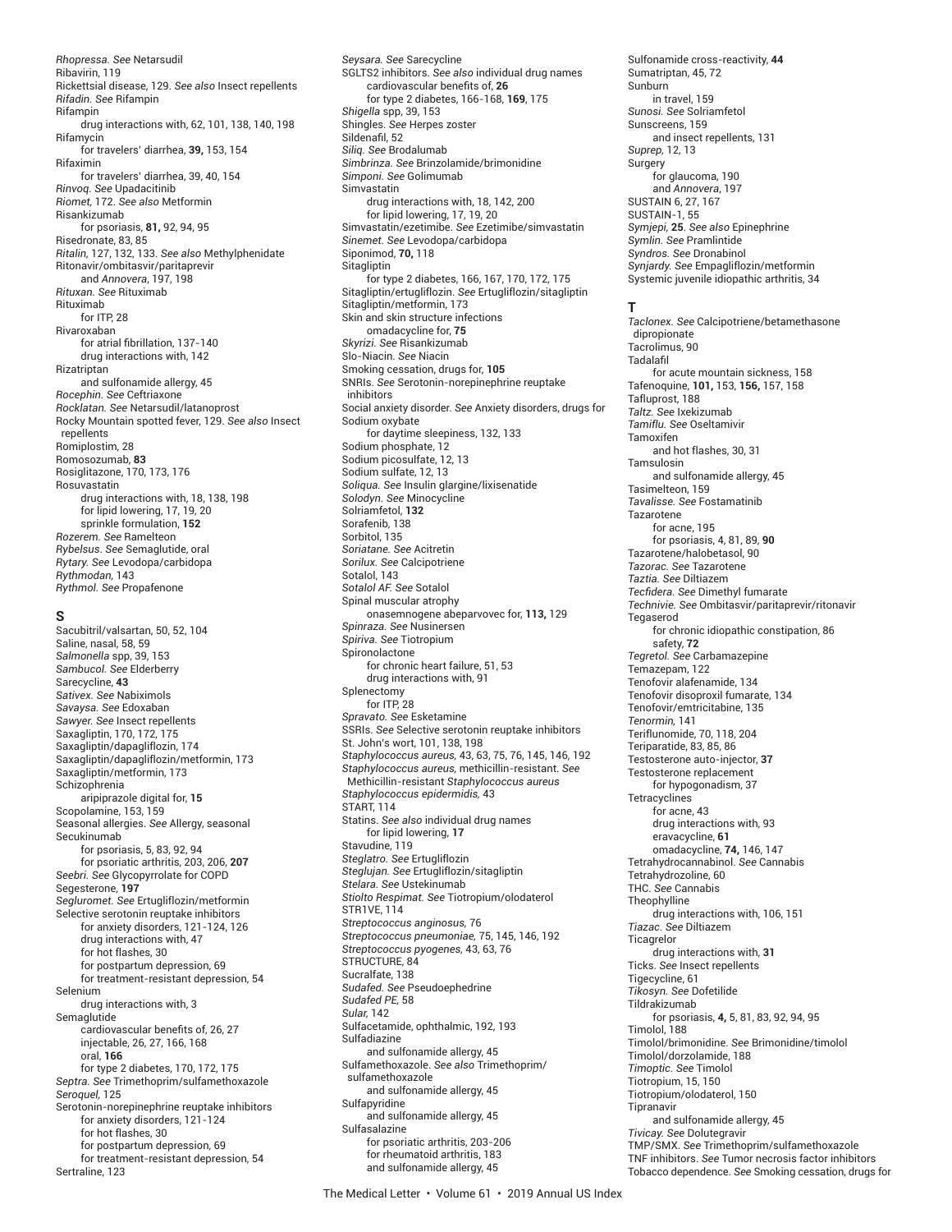*Rhopressa. See* Netarsudil Ribavirin, 119 Rickettsial disease, 129. *See also* Insect repellents *Rifadin. See* Rifampin Rifampin drug interactions with, 62, 101, 138, 140, 198 Rifamycin for travelers' diarrhea, **39,** 153, 154 Rifaximin for travelers' diarrhea, 39, 40, 154 *Rinvoq. See* Upadacitinib *Riomet,* 172. *See also* Metformin Risankizumab for psoriasis, **81,** 92, 94, 95 Risedronate, 83, 85 *Ritalin,* 127, 132, 133. *See also* Methylphenidate Ritonavir/ombitasvir/paritaprevir and *Annovera*, 197, 198 *Rituxan. See* Rituximab Rituximab for ITP, 28 Rivaroxaban for atrial fibrillation, 137-140 drug interactions with, 142 Rizatriptan and sulfonamide allergy, 45 *Rocephin. See* Ceftriaxone *Rocklatan. See* Netarsudil/latanoprost Rocky Mountain spotted fever, 129. *See also* Insect repellents Romiplostim, 28 Romosozumab, **83** Rosiglitazone, 170, 173, 176 Rosuvastatin drug interactions with, 18, 138, 198 for lipid lowering, 17, 19, 20 sprinkle formulation, **152** *Rozerem. See* Ramelteon *Rybelsus*. *See* Semaglutide, oral *Rytary. See* Levodopa/carbidopa *Rythmodan,* 143 *Rythmol. See* Propafenone

#### **S**

Sacubitril/valsartan, 50, 52, 104 Saline, nasal, 58, 59 *Salmonella* spp, 39, 153 *Sambucol. See* Elderberry Sarecycline, **43** *Sativex. See* Nabiximols *Savaysa. See* Edoxaban *Sawyer. See* Insect repellents Saxagliptin, 170, 172, 175 Saxagliptin/dapagliflozin, 174 Saxagliptin/dapagliflozin/metformin, 173 Saxagliptin/metformin, 173 Schizophrenia aripiprazole digital for, **15** Scopolamine, 153, 159 Seasonal allergies. *See* Allergy, seasonal Secukinumab for psoriasis, 5, 83, 92, 94 for psoriatic arthritis, 203, 206, **207** *Seebri. See* Glycopyrrolate for COPD Segesterone, **197** *Segluromet. See* Ertugliflozin/metformin Selective serotonin reuptake inhibitors for anxiety disorders, 121-124, 126 drug interactions with, 47 for hot flashes, 30 for postpartum depression, 69 for treatment-resistant depression, 54 Selenium drug interactions with, 3 Semaglutide cardiovascular benefits of, 26, 27 injectable, 26, 27, 166, 168 oral, **166** for type 2 diabetes, 170, 172, 175 *Septra. See* Trimethoprim/sulfamethoxazole *Seroquel,* 125 Serotonin-norepinephrine reuptake inhibitors for anxiety disorders, 121-124 for hot flashes, 30 for postpartum depression, 69 for treatment-resistant depression, 54 Sertraline, 123

*Seysara. See* Sarecycline SGLTS2 inhibitors. *See also* individual drug names cardiovascular benefits of, 26 for type 2 diabetes, 166-168, **169**, 175 *Shigella* spp, 39, 153 Shingles. *See* Herpes zoster Sildenafil, 52 *Siliq. See* Brodalumab *Simbrinza. See* Brinzolamide/brimonidine *Simponi. See* Golimumab Simvastatin drug interactions with, 18, 142, 200 for lipid lowering, 17, 19, 20 Simvastatin/ezetimibe. *See* Ezetimibe/simvastatin *Sinemet. See* Levodopa/carbidopa Siponimod, **70,** 118 Sitagliptin for type 2 diabetes, 166, 167, 170, 172, 175 Sitagliptin/ertugliflozin. *See* Ertugliflozin/sitagliptin Sitagliptin/metformin, 173 Skin and skin structure infections omadacycline for, **75** *Skyrizi. See* Risankizumab Slo-Niacin. *See* Niacin Smoking cessation, drugs for, **105** SNRIs. *See* Serotonin-norepinephrine reuptake inhibitors Social anxiety disorder. *See* Anxiety disorders, drugs for Sodium oxybate for daytime sleepiness, 132, 133 Sodium phosphate, 12 Sodium picosulfate, 12, 13 Sodium sulfate, 12, 13 *Soliqua. See* Insulin glargine/lixisenatide *Solodyn. See* Minocycline Solriamfetol, **132** Sorafenib, 138 Sorbitol, 135 *Soriatane. See* Acitretin *Sorilux. See* Calcipotriene Sotalol, 143 *Sotalol AF. See* Sotalol Spinal muscular atrophy onasemnogene abeparvovec for, **113,** 129 *Spinraza. See* Nusinersen *Spiriva. See* Tiotropium **Spironolactone** for chronic heart failure, 51, 53 drug interactions with, 91 Splenectomy for ITP, 28 *Spravato. See* Esketamine SSRIs. *See* Selective serotonin reuptake inhibitors St. John's wort, 101, 138, 198 *Staphylococcus aureus,* 43, 63, 75, 76, 145, 146, 192 *Staphylococcus aureus,* methicillin-resistant. *See* Methicillin-resistant *Staphylococcus aureus Staphylococcus epidermidis,* 43 START, 114 Statins. *See also* individual drug names for lipid lowering, **17** Stavudine, 119 *Steglatro. See* Ertugliflozin *Steglujan. See* Ertugliflozin/sitagliptin *Stelara. See* Ustekinumab *Stiolto Respimat. See* Tiotropium/olodaterol STR1VE, 114 *Streptococcus anginosus,* 76 *Streptococcus pneumoniae,* 75, 145, 146, 192 *Streptococcus pyogenes,* 43, 63, 76 STRUCTURE, 84 Sucralfate, 138 *Sudafed. See* Pseudoephedrine *Sudafed PE,* 58 *Sular,* 142 Sulfacetamide, ophthalmic, 192, 193 Sulfadiazine and sulfonamide allergy, 45 Sulfamethoxazole. *See also* Trimethoprim/ sulfamethoxazole and sulfonamide allergy, 45 Sulfapyridine and sulfonamide allergy, 45 Sulfasalazine for psoriatic arthritis, 203-206 for rheumatoid arthritis, 183 and sulfonamide allergy, 45

Sulfonamide cross-reactivity, **44** Sumatriptan, 45, 72 Sunburn in travel, 159 *Sunosi. See* Solriamfetol Sunscreens, 159 and insect repellents, 131 *Suprep,* 12, 13 Surgery for glaucoma, 190 and *Annovera*, 197 SUSTAIN 6, 27, 167 SUSTAIN-1, 55 *Symjepi,* **25**. *See also* Epinephrine *Symlin. See* Pramlintide *Syndros. See* Dronabinol *Synjardy. See* Empagliflozin/metformin Systemic juvenile idiopathic arthritis, 34

#### **T**

*Taclonex. See* Calcipotriene/betamethasone dipropionate Tacrolimus, 90 **Tadalafil** for acute mountain sickness, 158 Tafenoquine, **101,** 153, **156,** 157, 158 Tafluprost, 188 *Taltz. See* Ixekizumab *Tamiflu. See* Oseltamivir Tamoxifen and hot flashes, 30, 31 Tamsulosin and sulfonamide allergy, 45 Tasimelteon, 159 *Tavalisse. See* Fostamatinib Tazarotene for acne, 195 for psoriasis, 4, 81, 89, **90** Tazarotene/halobetasol, 90 *Tazorac. See* Tazarotene *Taztia. See* Diltiazem *Tecfi dera. See* Dimethyl fumarate *Technivie. See* Ombitasvir/paritaprevir/ritonavir **Tegaserod** for chronic idiopathic constipation, 86 safety, **72** *Tegretol. See* Carbamazepine Temazepam, 122 Tenofovir alafenamide, 134 Tenofovir disoproxil fumarate, 134 Tenofovir/emtricitabine, 135 *Tenormin,* 141 Teriflunomide, 70, 118, 204 Teriparatide, 83, 85, 86 Testosterone auto-injector, **37** Testosterone replacement for hypogonadism, 37 Tetracyclines for acne, 43 drug interactions with, 93 eravacycline, **61** omadacycline, **74,** 146, 147 Tetrahydrocannabinol. *See* Cannabis Tetrahydrozoline, 60 THC. *See* Cannabis **Theophylline** drug interactions with, 106, 151 *Tiazac. See* Diltiazem **Ticagrelor** drug interactions with, **31** Ticks. *See* Insect repellents Tigecycline, 61 *Tikosyn. See* Dofetilide Tildrakizumab for psoriasis, **4,** 5, 81, 83, 92, 94, 95 Timolol, 188 Timolol/brimonidine. *See* Brimonidine/timolol Timolol/dorzolamide, 188 *Timoptic. See* Timolol Tiotropium, 15, 150 Tiotropium/olodaterol, 150 Tipranavir and sulfonamide allergy, 45 *Tivicay. See* Dolutegravir TMP/SMX. *See* Trimethoprim/sulfamethoxazole TNF inhibitors. *See* Tumor necrosis factor inhibitors Tobacco dependence. *See* Smoking cessation, drugs for